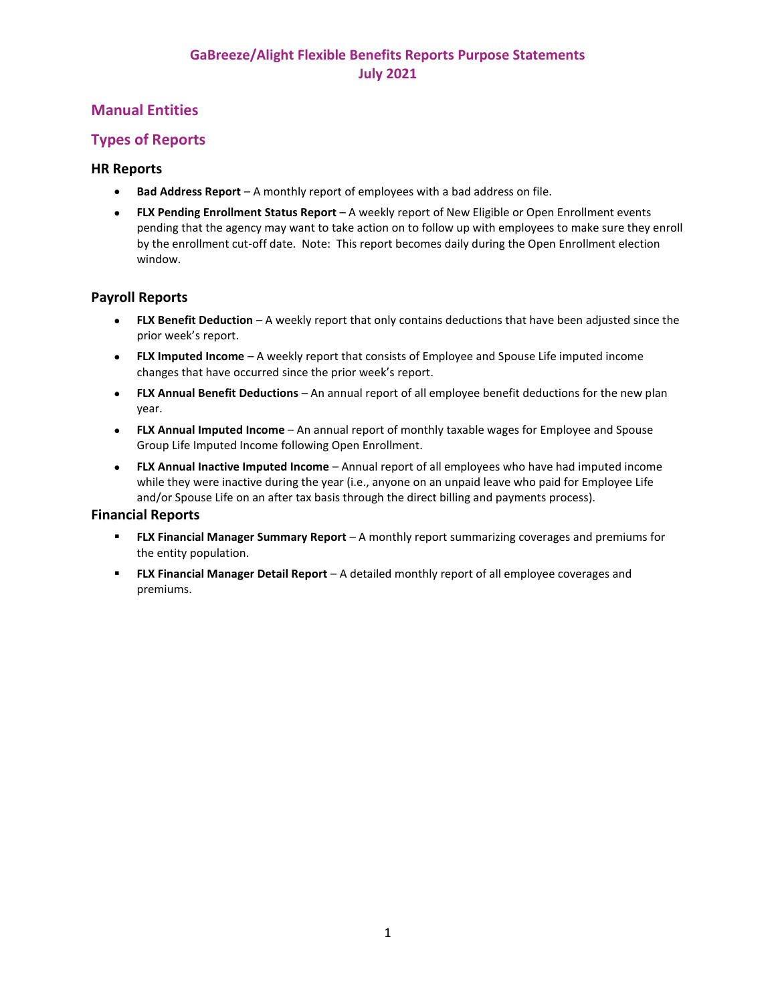# **Manual Entities**

## **Types of Reports**

### **HR Reports**

- **Bad Address Report** A monthly report of employees with a bad address on file.
- **FLX Pending Enrollment Status Report** A weekly report of New Eligible or Open Enrollment events pending that the agency may want to take action on to follow up with employees to make sure they enroll by the enrollment cut-off date. Note: This report becomes daily during the Open Enrollment election window.

### **Payroll Reports**

- **FLX Benefit Deduction** A weekly report that only contains deductions that have been adjusted since the prior week's report.
- **FLX Imputed Income** A weekly report that consists of Employee and Spouse Life imputed income changes that have occurred since the prior week's report.
- **FLX Annual Benefit Deductions** An annual report of all employee benefit deductions for the new plan year.
- **FLX Annual Imputed Income** An annual report of monthly taxable wages for Employee and Spouse Group Life Imputed Income following Open Enrollment.
- **FLX Annual Inactive Imputed Income** Annual report of all employees who have had imputed income while they were inactive during the year (i.e., anyone on an unpaid leave who paid for Employee Life and/or Spouse Life on an after tax basis through the direct billing and payments process).

### **Financial Reports**

- **FLX Financial Manager Summary Report** A monthly report summarizing coverages and premiums for the entity population.
- **FLX Financial Manager Detail Report** A detailed monthly report of all employee coverages and premiums.